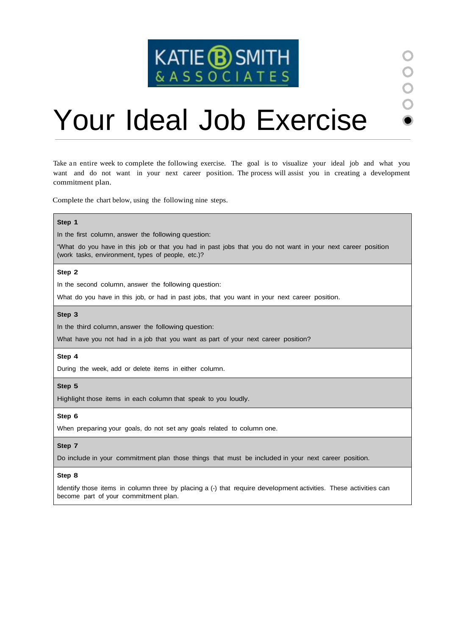

# Your Ideal Job Exercise

Take an entire week to complete the following exercise. The goal is to visualize your ideal job and what you want and do not want in your next career position. The process will assist you in creating a development commitment plan.

Complete the chart below, using the following nine steps.

### **Step 1**

In the first column, answer the following question:

"What do you have in this job or that you had in past jobs that you do not want in your next career position (work tasks, environment, types of people, etc.)?

#### **Step 2**

In the second column, answer the following question:

What do you have in this job, or had in past jobs, that you want in your next career position.

#### **Step 3**

In the third column, answer the following question:

What have you not had in a job that you want as part of your next career position?

#### **Step 4**

During the week, add or delete items in either column.

#### **Step 5**

Highlight those items in each column that speak to you loudly.

#### **Step 6**

When preparing your goals, do not set any goals related to column one.

#### **Step 7**

Do include in your commitment plan those things that must be included in your next career position.

#### **Step 8**

Identify those items in column three by placing a (-) that require development activities. These activities can become part of your commitment plan.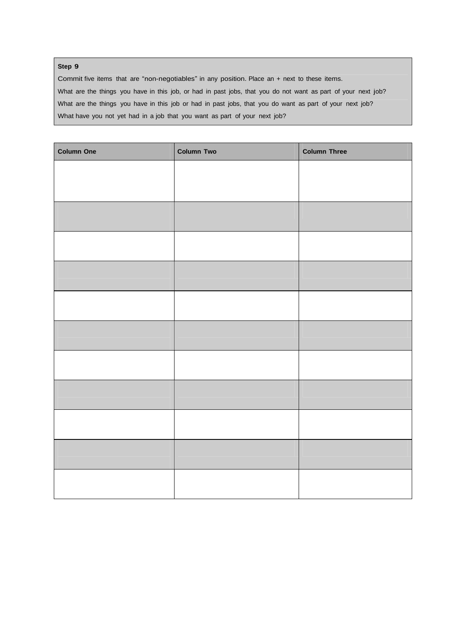## **Step 9**

Commit five items that are "non-negotiables" in any position. Place an + next to these items. What are the things you have in this job, or had in past jobs, that you do not want as part of your next job? What are the things you have in this job or had in past jobs, that you do want as part of your next job? What have you not yet had in a job that you want as part of your next job?

| <b>Column One</b> | <b>Column Two</b> | <b>Column Three</b> |
|-------------------|-------------------|---------------------|
|                   |                   |                     |
|                   |                   |                     |
|                   |                   |                     |
|                   |                   |                     |
|                   |                   |                     |
|                   |                   |                     |
|                   |                   |                     |
|                   |                   |                     |
|                   |                   |                     |
|                   |                   |                     |
|                   |                   |                     |
|                   |                   |                     |
|                   |                   |                     |
|                   |                   |                     |
|                   |                   |                     |
|                   |                   |                     |
|                   |                   |                     |
|                   |                   |                     |
|                   |                   |                     |
|                   |                   |                     |